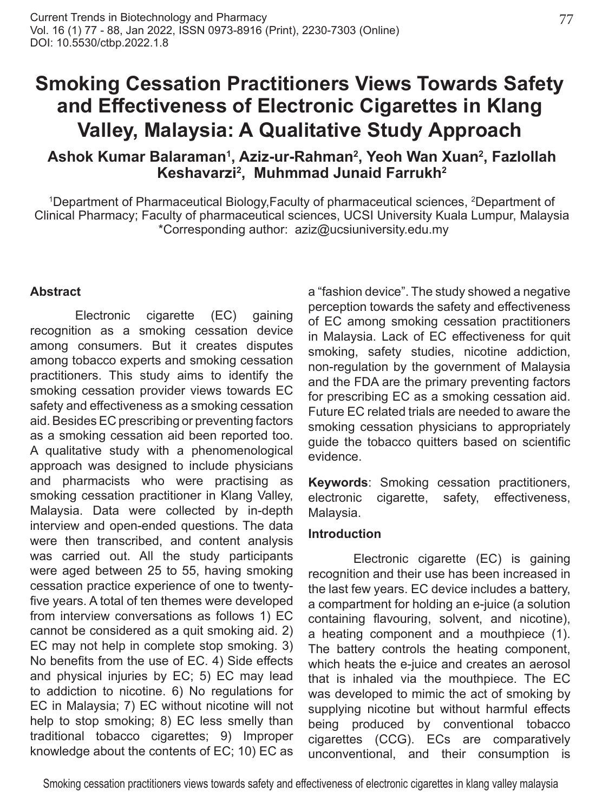# **Smoking Cessation Practitioners Views Towards Safety and Effectiveness of Electronic Cigarettes in Klang Valley, Malaysia: A Qualitative Study Approach**

## **Ashok Kumar Balaraman<sup>1</sup> , Aziz-ur-Rahman<sup>2</sup> , Yeoh Wan Xuan<sup>2</sup> , Fazlollah Keshavarzi<sup>2</sup> , Muhmmad Junaid Farrukh<sup>2</sup>**

1 Department of Pharmaceutical Biology,Faculty of pharmaceutical sciences, 2 Department of Clinical Pharmacy; Faculty of pharmaceutical sciences, UCSI University Kuala Lumpur, Malaysia \*Corresponding author: aziz@ucsiuniversity.edu.my

#### **Abstract**

Electronic cigarette (EC) gaining recognition as a smoking cessation device among consumers. But it creates disputes among tobacco experts and smoking cessation practitioners. This study aims to identify the smoking cessation provider views towards EC safety and effectiveness as a smoking cessation aid. Besides EC prescribing or preventing factors as a smoking cessation aid been reported too. A qualitative study with a phenomenological approach was designed to include physicians and pharmacists who were practising as smoking cessation practitioner in Klang Valley, Malaysia. Data were collected by in-depth interview and open-ended questions. The data were then transcribed, and content analysis was carried out. All the study participants were aged between 25 to 55, having smoking cessation practice experience of one to twentyfive years. A total of ten themes were developed from interview conversations as follows 1) EC cannot be considered as a quit smoking aid. 2) EC may not help in complete stop smoking. 3) No benefits from the use of EC. 4) Side effects and physical injuries by EC; 5) EC may lead to addiction to nicotine. 6) No regulations for EC in Malaysia; 7) EC without nicotine will not help to stop smoking; 8) EC less smelly than traditional tobacco cigarettes; 9) Improper knowledge about the contents of EC; 10) EC as

a "fashion device". The study showed a negative perception towards the safety and effectiveness of EC among smoking cessation practitioners in Malaysia. Lack of EC effectiveness for quit smoking, safety studies, nicotine addiction, non-regulation by the government of Malaysia and the FDA are the primary preventing factors for prescribing EC as a smoking cessation aid. Future EC related trials are needed to aware the smoking cessation physicians to appropriately guide the tobacco quitters based on scientific evidence.

**Keywords**: Smoking cessation practitioners, electronic cigarette, safety, effectiveness, Malaysia.

#### **Introduction**

Electronic cigarette (EC) is gaining recognition and their use has been increased in the last few years. EC device includes a battery, a compartment for holding an e-juice (a solution containing flavouring, solvent, and nicotine), a heating component and a mouthpiece (1). The battery controls the heating component, which heats the e-juice and creates an aerosol that is inhaled via the mouthpiece. The EC was developed to mimic the act of smoking by supplying nicotine but without harmful effects being produced by conventional tobacco cigarettes (CCG). ECs are comparatively unconventional, and their consumption is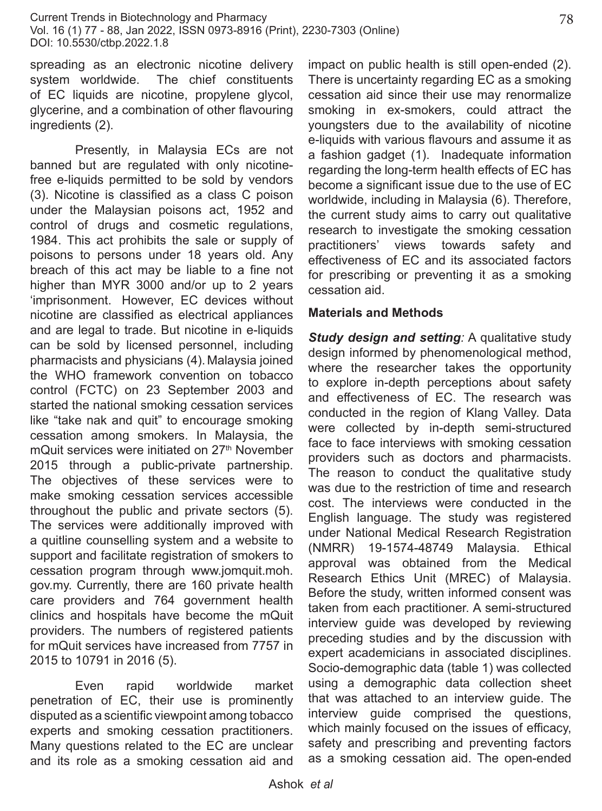spreading as an electronic nicotine delivery system worldwide. The chief constituents of EC liquids are nicotine, propylene glycol, glycerine, and a combination of other flavouring ingredients (2).

Presently, in Malaysia ECs are not banned but are regulated with only nicotinefree e-liquids permitted to be sold by vendors (3). Nicotine is classified as a class C poison under the Malaysian poisons act, 1952 and control of drugs and cosmetic regulations, 1984. This act prohibits the sale or supply of poisons to persons under 18 years old. Any breach of this act may be liable to a fine not higher than MYR 3000 and/or up to 2 years 'imprisonment. However, EC devices without nicotine are classified as electrical appliances and are legal to trade. But nicotine in e-liquids can be sold by licensed personnel, including pharmacists and physicians (4). Malaysia joined the WHO framework convention on tobacco control (FCTC) on 23 September 2003 and started the national smoking cessation services like "take nak and quit" to encourage smoking cessation among smokers. In Malaysia, the mQuit services were initiated on 27<sup>th</sup> November 2015 through a public-private partnership. The objectives of these services were to make smoking cessation services accessible throughout the public and private sectors (5). The services were additionally improved with a quitline counselling system and a website to support and facilitate registration of smokers to cessation program through www.jomquit.moh. gov.my. Currently, there are 160 private health care providers and 764 government health clinics and hospitals have become the mQuit providers. The numbers of registered patients for mQuit services have increased from 7757 in 2015 to 10791 in 2016 (5).

Even rapid worldwide market penetration of EC, their use is prominently disputed as a scientific viewpoint among tobacco experts and smoking cessation practitioners. Many questions related to the EC are unclear and its role as a smoking cessation aid and impact on public health is still open-ended (2). There is uncertainty regarding EC as a smoking cessation aid since their use may renormalize smoking in ex-smokers, could attract the youngsters due to the availability of nicotine e-liquids with various flavours and assume it as a fashion gadget (1). Inadequate information regarding the long-term health effects of EC has become a significant issue due to the use of EC worldwide, including in Malaysia (6). Therefore, the current study aims to carry out qualitative research to investigate the smoking cessation practitioners' views towards safety and effectiveness of EC and its associated factors for prescribing or preventing it as a smoking cessation aid.

#### **Materials and Methods**

*Study design and setting:* A qualitative study design informed by phenomenological method, where the researcher takes the opportunity to explore in-depth perceptions about safety and effectiveness of EC. The research was conducted in the region of Klang Valley. Data were collected by in-depth semi-structured face to face interviews with smoking cessation providers such as doctors and pharmacists. The reason to conduct the qualitative study was due to the restriction of time and research cost. The interviews were conducted in the English language. The study was registered under National Medical Research Registration (NMRR) 19-1574-48749 Malaysia. Ethical approval was obtained from the Medical Research Ethics Unit (MREC) of Malaysia. Before the study, written informed consent was taken from each practitioner. A semi-structured interview guide was developed by reviewing preceding studies and by the discussion with expert academicians in associated disciplines. Socio-demographic data (table 1) was collected using a demographic data collection sheet that was attached to an interview guide. The interview guide comprised the questions, which mainly focused on the issues of efficacy, safety and prescribing and preventing factors as a smoking cessation aid. The open-ended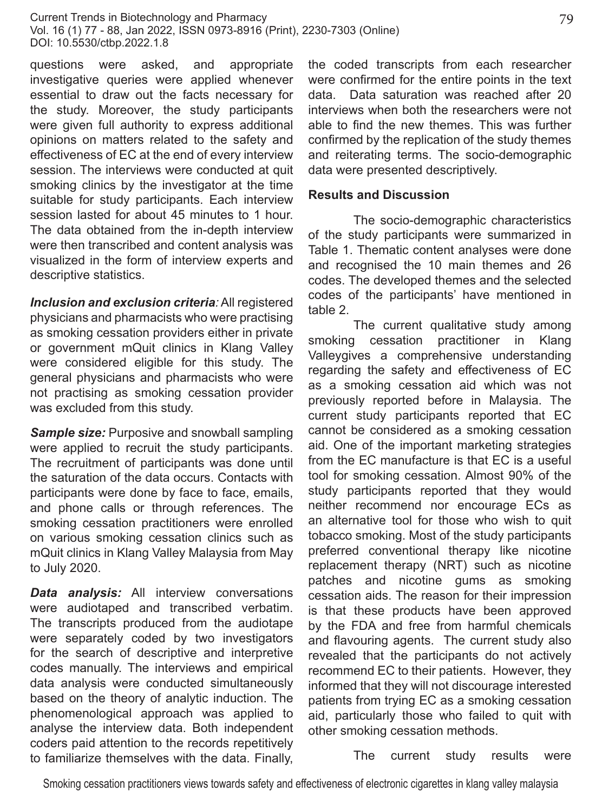questions were asked, and appropriate investigative queries were applied whenever essential to draw out the facts necessary for the study. Moreover, the study participants were given full authority to express additional opinions on matters related to the safety and effectiveness of EC at the end of every interview session. The interviews were conducted at quit smoking clinics by the investigator at the time suitable for study participants. Each interview session lasted for about 45 minutes to 1 hour. The data obtained from the in-depth interview were then transcribed and content analysis was visualized in the form of interview experts and descriptive statistics.

*Inclusion and exclusion criteria:* All registered physicians and pharmacists who were practising as smoking cessation providers either in private or government mQuit clinics in Klang Valley were considered eligible for this study. The general physicians and pharmacists who were not practising as smoking cessation provider was excluded from this study.

**Sample size:** Purposive and snowball sampling were applied to recruit the study participants. The recruitment of participants was done until the saturation of the data occurs. Contacts with participants were done by face to face, emails, and phone calls or through references. The smoking cessation practitioners were enrolled on various smoking cessation clinics such as mQuit clinics in Klang Valley Malaysia from May to July 2020.

*Data analysis:* All interview conversations were audiotaped and transcribed verbatim. The transcripts produced from the audiotape were separately coded by two investigators for the search of descriptive and interpretive codes manually. The interviews and empirical data analysis were conducted simultaneously based on the theory of analytic induction. The phenomenological approach was applied to analyse the interview data. Both independent coders paid attention to the records repetitively to familiarize themselves with the data. Finally,

the coded transcripts from each researcher were confirmed for the entire points in the text data. Data saturation was reached after 20 interviews when both the researchers were not able to find the new themes. This was further confirmed by the replication of the study themes and reiterating terms. The socio-demographic data were presented descriptively.

#### **Results and Discussion**

The socio-demographic characteristics of the study participants were summarized in Table 1. Thematic content analyses were done and recognised the 10 main themes and 26 codes. The developed themes and the selected codes of the participants' have mentioned in table 2.

The current qualitative study among smoking cessation practitioner in Klang Valleygives a comprehensive understanding regarding the safety and effectiveness of EC as a smoking cessation aid which was not previously reported before in Malaysia. The current study participants reported that EC cannot be considered as a smoking cessation aid. One of the important marketing strategies from the EC manufacture is that EC is a useful tool for smoking cessation. Almost 90% of the study participants reported that they would neither recommend nor encourage ECs as an alternative tool for those who wish to quit tobacco smoking. Most of the study participants preferred conventional therapy like nicotine replacement therapy (NRT) such as nicotine patches and nicotine gums as smoking cessation aids. The reason for their impression is that these products have been approved by the FDA and free from harmful chemicals and flavouring agents. The current study also revealed that the participants do not actively recommend EC to their patients. However, they informed that they will not discourage interested patients from trying EC as a smoking cessation aid, particularly those who failed to quit with other smoking cessation methods.

The current study results were

Smoking cessation practitioners views towards safety and effectiveness of electronic cigarettes in klang valley malaysia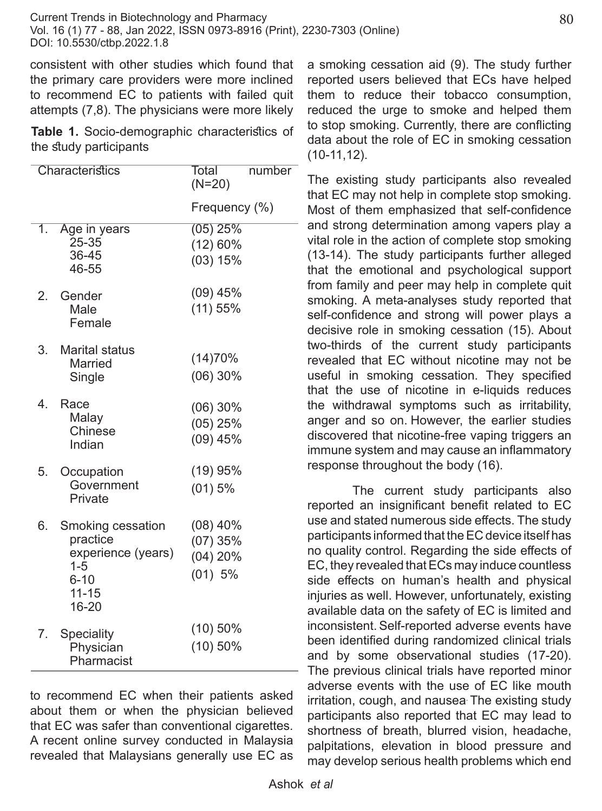consistent with other studies which found that the primary care providers were more inclined to recommend EC to patients with failed quit attempts (7,8). The physicians were more likely

**Table 1.** Socio-demographic characteristics of the study participants

|                  | Characteristics                                                                                  | Total<br>$(N=20)$                               | number |
|------------------|--------------------------------------------------------------------------------------------------|-------------------------------------------------|--------|
|                  |                                                                                                  | Frequency (%)                                   |        |
| $\overline{1}$ . | Age in years<br>25-35<br>36-45<br>46-55                                                          | $(05)$ 25%<br>(12) 60%<br>(03) 15%              |        |
| 2.               | Gender<br>Male<br>Female                                                                         | $(09)$ 45%<br>(11) 55%                          |        |
| 3.               | <b>Marital status</b><br>Married<br>Single                                                       | (14)70%<br>$(06)$ 30%                           |        |
| 4                | Race<br>Malay<br>Chinese<br>Indian                                                               | $(06)$ 30%<br>(05) 25%<br>$(09)$ 45%            |        |
| 5.               | Occupation<br>Government<br>Private                                                              | (19)95%<br>$(01)$ 5%                            |        |
| 6.               | Smoking cessation<br>practice<br>experience (years)<br>$1 - 5$<br>$6 - 10$<br>$11 - 15$<br>16-20 | $(08)$ 40%<br>$(07)$ 35%<br>(04) 20%<br>(01) 5% |        |
| 7.               | Speciality<br>Physician<br>Pharmacist                                                            | $(10)$ 50%<br>$(10)$ 50%                        |        |

to recommend EC when their patients asked about them or when the physician believed that EC was safer than conventional cigarettes. A recent online survey conducted in Malaysia revealed that Malaysians generally use EC as

a smoking cessation aid (9). The study further reported users believed that ECs have helped them to reduce their tobacco consumption, reduced the urge to smoke and helped them to stop smoking. Currently, there are conflicting data about the role of EC in smoking cessation (10-11,12).

The existing study participants also revealed that EC may not help in complete stop smoking. Most of them emphasized that self-confidence  $-$  and strong determination among vapers play a vital role in the action of complete stop smoking (13-14). The study participants further alleged that the emotional and psychological support from family and peer may help in complete quit smoking. A meta-analyses study reported that self-confidence and strong will power plays a decisive role in smoking cessation (15). About two-thirds of the current study participants revealed that EC without nicotine may not be useful in smoking cessation. They specified that the use of nicotine in e-liquids reduces the withdrawal symptoms such as irritability, anger and so on. However, the earlier studies discovered that nicotine-free vaping triggers an immune system and may cause an inflammatory response throughout the body (16).

The current study participants also reported an insignificant benefit related to EC use and stated numerous side effects. The study participants informed that the EC device itself has no quality control. Regarding the side effects of EC, they revealed that ECs may induce countless side effects on human's health and physical injuries as well. However, unfortunately, existing available data on the safety of EC is limited and inconsistent. Self-reported adverse events have been identified during randomized clinical trials and by some observational studies (17-20). The previous clinical trials have reported minor adverse events with the use of EC like mouth irritation, cough, and nausea. The existing study participants also reported that EC may lead to shortness of breath, blurred vision, headache, palpitations, elevation in blood pressure and may develop serious health problems which end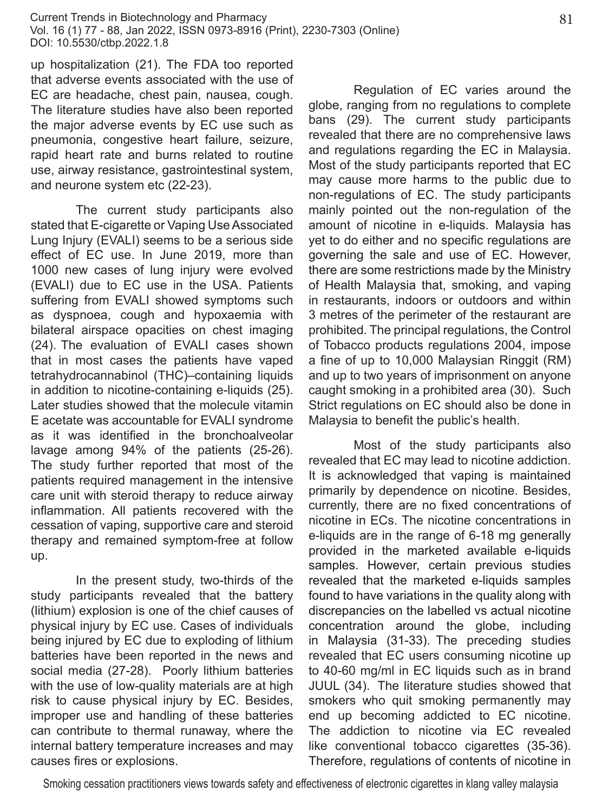up hospitalization (21). The FDA too reported that adverse events associated with the use of EC are headache, chest pain, nausea, cough. The literature studies have also been reported the major adverse events by EC use such as pneumonia, congestive heart failure, seizure, rapid heart rate and burns related to routine use, airway resistance, gastrointestinal system, and neurone system etc (22-23).

The current study participants also stated that E-cigarette or Vaping Use Associated Lung Injury (EVALI) seems to be a serious side effect of EC use. In June 2019, more than 1000 new cases of lung injury were evolved (EVALI) due to EC use in the USA. Patients suffering from EVALI showed symptoms such as dyspnoea, cough and hypoxaemia with bilateral airspace opacities on chest imaging (24). The evaluation of EVALI cases shown that in most cases the patients have vaped tetrahydrocannabinol (THC)–containing liquids in addition to nicotine-containing e-liquids (25). Later studies showed that the molecule vitamin E acetate was accountable for EVALI syndrome as it was identified in the bronchoalveolar lavage among 94% of the patients (25-26). The study further reported that most of the patients required management in the intensive care unit with steroid therapy to reduce airway inflammation. All patients recovered with the cessation of vaping, supportive care and steroid therapy and remained symptom-free at follow up.

In the present study, two-thirds of the study participants revealed that the battery (lithium) explosion is one of the chief causes of physical injury by EC use. Cases of individuals being injured by EC due to exploding of lithium batteries have been reported in the news and social media (27-28). Poorly lithium batteries with the use of low-quality materials are at high risk to cause physical injury by EC. Besides, improper use and handling of these batteries can contribute to thermal runaway, where the internal battery temperature increases and may causes fires or explosions.

Regulation of EC varies around the globe, ranging from no regulations to complete bans (29). The current study participants revealed that there are no comprehensive laws and regulations regarding the EC in Malaysia. Most of the study participants reported that EC may cause more harms to the public due to non-regulations of EC. The study participants mainly pointed out the non-regulation of the amount of nicotine in e-liquids. Malaysia has yet to do either and no specific regulations are governing the sale and use of EC. However, there are some restrictions made by the Ministry of Health Malaysia that, smoking, and vaping in restaurants, indoors or outdoors and within 3 metres of the perimeter of the restaurant are prohibited. The principal regulations, the Control of Tobacco products regulations 2004, impose a fine of up to 10,000 Malaysian Ringgit (RM) and up to two years of imprisonment on anyone caught smoking in a prohibited area (30). Such Strict regulations on EC should also be done in Malaysia to benefit the public's health.

Most of the study participants also revealed that EC may lead to nicotine addiction. It is acknowledged that vaping is maintained primarily by dependence on nicotine. Besides, currently, there are no fixed concentrations of nicotine in ECs. The nicotine concentrations in e-liquids are in the range of 6-18 mg generally provided in the marketed available e-liquids samples. However, certain previous studies revealed that the marketed e-liquids samples found to have variations in the quality along with discrepancies on the labelled vs actual nicotine concentration around the globe, including in Malaysia (31-33). The preceding studies revealed that EC users consuming nicotine up to 40-60 mg/ml in EC liquids such as in brand JUUL (34). The literature studies showed that smokers who quit smoking permanently may end up becoming addicted to EC nicotine. The addiction to nicotine via EC revealed like conventional tobacco cigarettes (35-36). Therefore, regulations of contents of nicotine in

Smoking cessation practitioners views towards safety and effectiveness of electronic cigarettes in klang valley malaysia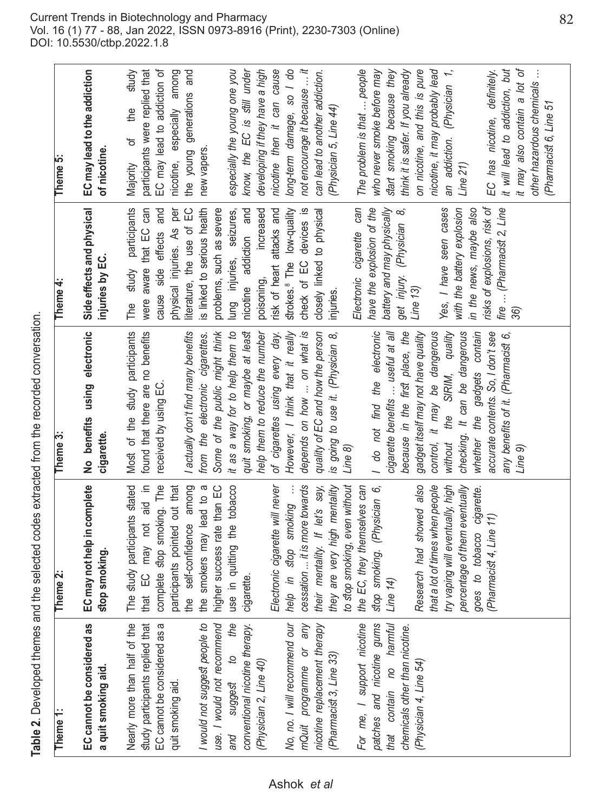| aple 2. Developed themes and the selected codes extracted from the recorded conversation |
|------------------------------------------------------------------------------------------|
|                                                                                          |
|                                                                                          |
|                                                                                          |

| Theme <sub>1:</sub>                                                                                                                                                                                                                                                                                                                                                                                                                                                                                                                         | Theme <sub>2:</sub>                                                                                                                                                                                                                                                                                                                                                                                                                                                                                                                                                                                                                                                                                                                 | Theme <sub>3</sub> :                                                                                                                                                                                                                                                                                                                                                                                                                                                                                                                                                                                                                                                                                                                                                                                                                                                      | Theme 4:                                                                                                                                                                                                                                                                                                                                                                                                                                                                                                                                                                                                                                                                                                             | Theme 5:                                                                                                                                                                                                                                                                                                                                                                                                                                                                                                                                                                                                                                                                                                                                                                                                                               |
|---------------------------------------------------------------------------------------------------------------------------------------------------------------------------------------------------------------------------------------------------------------------------------------------------------------------------------------------------------------------------------------------------------------------------------------------------------------------------------------------------------------------------------------------|-------------------------------------------------------------------------------------------------------------------------------------------------------------------------------------------------------------------------------------------------------------------------------------------------------------------------------------------------------------------------------------------------------------------------------------------------------------------------------------------------------------------------------------------------------------------------------------------------------------------------------------------------------------------------------------------------------------------------------------|---------------------------------------------------------------------------------------------------------------------------------------------------------------------------------------------------------------------------------------------------------------------------------------------------------------------------------------------------------------------------------------------------------------------------------------------------------------------------------------------------------------------------------------------------------------------------------------------------------------------------------------------------------------------------------------------------------------------------------------------------------------------------------------------------------------------------------------------------------------------------|----------------------------------------------------------------------------------------------------------------------------------------------------------------------------------------------------------------------------------------------------------------------------------------------------------------------------------------------------------------------------------------------------------------------------------------------------------------------------------------------------------------------------------------------------------------------------------------------------------------------------------------------------------------------------------------------------------------------|----------------------------------------------------------------------------------------------------------------------------------------------------------------------------------------------------------------------------------------------------------------------------------------------------------------------------------------------------------------------------------------------------------------------------------------------------------------------------------------------------------------------------------------------------------------------------------------------------------------------------------------------------------------------------------------------------------------------------------------------------------------------------------------------------------------------------------------|
| EC cannot be considered as<br>a quit smoking aid.                                                                                                                                                                                                                                                                                                                                                                                                                                                                                           | EC may not help in complete<br>stop smoking                                                                                                                                                                                                                                                                                                                                                                                                                                                                                                                                                                                                                                                                                         | No benefits using electronic<br>cigarette.                                                                                                                                                                                                                                                                                                                                                                                                                                                                                                                                                                                                                                                                                                                                                                                                                                | Side effects and physical<br>injuries by EC.                                                                                                                                                                                                                                                                                                                                                                                                                                                                                                                                                                                                                                                                         | EC may lead to the addiction<br>of nicotine.                                                                                                                                                                                                                                                                                                                                                                                                                                                                                                                                                                                                                                                                                                                                                                                           |
| Nearly more than half of the<br>study participants replied that<br>EC cannot be considered as a<br>I would not suggest people to<br>use. I would not recommena<br>and suggest to the<br>conventional nicotine therapy.<br>No, no. I will recommend our<br>mQuit programme or any<br>nicotine replacement therapy<br>For me, I support nicotine<br>patches and nicotine gums<br>that contain no harmful<br>chemicals other than nicotine.<br>(Pharmacist 3, Line 33)<br>(Physician 2, Line 40)<br>Physician 4, Line 54)<br>quit smoking aid. | higher success rate than EC<br>Electronic cigarette will never<br>percentage of them eventually<br>that EC may not aid in<br>complete stop smoking. The<br>the self-confidence among<br>cessation  it is more towards<br>to stop smoking, even without<br>The study participants stated<br>participants pointed out that<br>the smokers may lead to a<br>use in quitting the tobacco<br>they are very high mentality<br>the EC, they themselves can<br>that a lot of times when people<br>try vaping will eventually, high<br>their mentality. If let's say,<br>stop smoking. (Physician 6,<br>Research had showed also<br>goes to tobacco cigarette.<br>help in stop smoking<br>Pharmacist 4, Line 11)<br>cigarette<br>Line $14$ ) | quit smoking, or maybe at least<br>However, I think that it really<br>Most of the study participants<br>found that there are no benefits<br>Some of the public might think<br>it as a way for to help them to<br>help them to reduce the number<br>of cigarettes using every day.<br>depends on how  on what is<br>quality of EC and how the person<br>I do not find the electronic<br>cigarette benefits  useful at all<br>because in the first place, the<br>control, it may be dangerous<br>checking. It can be dangerous<br>whether the gadgets contain<br>accurate contents. So, I don't see<br>I actually don't find many benefits<br>without the SIRIM, quality<br>is going to use it. (Physician 8,<br>gadget itself may not have quality<br>any benefits of it. (Pharmacist 6,<br>from the electronic cigarettes.<br>received by using EC.<br>Line 8)<br>Line 9) | risks of explosions, risk of<br>fire  (Pharmacist 2, Line<br>physical injuries. As per<br>Electronic cigarette can<br>have the explosion of the<br>battery and may physically<br>study participants<br>Yes, I have seen cases<br>with the battery explosion<br>literature, the use of EC<br>strokes. <sup>8</sup> The low-quality<br>check of EC devices is<br>closely linked to physical<br>in the news, maybe also<br>were aware that EC can<br>cause side effects and<br>is linked to serious health<br>problems, such as severe<br>nicotine addiction and<br>increased<br>risk of heart attacks and<br>get injury. (Physician 8,<br>lung injuries, seizures,<br>poisoning,<br>Line 13)<br>njuries.<br>The<br>36) | not encourage it because  it<br>it will lead to addiction, but<br>it may also contain a lot of<br>EC may lead to addiction of<br>nicotine then it can cause<br>long-term damage, so I do<br>on nicotine, and this is pure<br>nicotine, it may probably lead<br>know, the EC is still under<br>developing if they have a high<br>can lead to another addiction.<br>The problem is that  people<br>who never smoke before may<br>an addiction. (Physician 1,<br>participants were replied that<br>nicotine, especially among<br>the young generations and<br>especially the young one you<br>start smoking because they<br>think it is safer. If you already<br>EC has nicotine, definitely.<br>other hazardous chemicals<br>study<br>(Pharmacist 6, Line 51<br>the<br>(Physician 5, Line 44)<br>Ⴆ<br>new vapers<br>Majority<br>Line 21) |
|                                                                                                                                                                                                                                                                                                                                                                                                                                                                                                                                             |                                                                                                                                                                                                                                                                                                                                                                                                                                                                                                                                                                                                                                                                                                                                     |                                                                                                                                                                                                                                                                                                                                                                                                                                                                                                                                                                                                                                                                                                                                                                                                                                                                           |                                                                                                                                                                                                                                                                                                                                                                                                                                                                                                                                                                                                                                                                                                                      |                                                                                                                                                                                                                                                                                                                                                                                                                                                                                                                                                                                                                                                                                                                                                                                                                                        |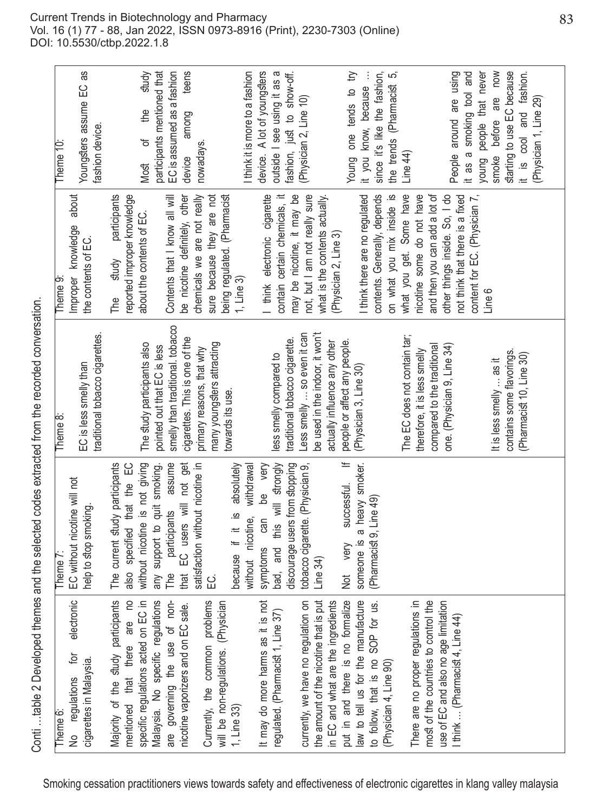| Theme 6:                                                                   | Theme 7                                                             | Theme 8:                                                           | Theme <sub>9</sub>                                                      | Theme 10:                                              |
|----------------------------------------------------------------------------|---------------------------------------------------------------------|--------------------------------------------------------------------|-------------------------------------------------------------------------|--------------------------------------------------------|
| electronic<br>įó<br>cigarettes in Malaysia.<br>No regulations              | EC without nicotine will not<br>help to stop smoking                | traditional tobacco cigarettes.<br>EC is less smelly than          | about<br>Improper knowledge<br>the contents of EC.                      | Youngsters assume EC as<br>fashion device.             |
| Majority of the study participants<br>e<br>are<br>mentioned that there     | ں<br>س<br>The current study participants<br>also specified that the |                                                                    | participants<br>reported improper knowledge<br>study<br>PH <sub>e</sub> |                                                        |
| specific regulations acted on EC in                                        | without nicotine is not giving                                      | The study participants also                                        | about the contents of EC.                                               | study<br>the<br>$\frac{1}{\sigma}$<br>Most             |
| Malaysia. No specific regulations<br>non-<br>governing the use of<br>are   | assume<br>any support to quit smoking.<br>participants<br>PM<br>The | pointed out that EC is less                                        | Contents that I know all will                                           | participants mentioned that                            |
| sale.<br>nicotine vaporizers and on EC                                     | EC users will not get<br>that                                       | smelly than traditional. tobacco<br>cigarettes. This is one of the | be nicotine definitely, other                                           | EC is assumed as a fashion<br>teens<br>among<br>device |
|                                                                            | satisfaction without nicotine in                                    | primary reasons, that why                                          | chemicals we are not really                                             | nowadays.                                              |
| Currently, the common problems<br>sician<br>will be non-regulations. (Phy  | 〔<br>[                                                              | many youngsters attracting<br>towards its use.                     | being regulated. (Pharmacist<br>sure because they are not               |                                                        |
| 1, Line 33)                                                                | absolutely<br>without nicotine, withdrawal<br>because if it is      |                                                                    | 1, Line 3)                                                              | I think it is more to a fashion                        |
| is not<br>It may do more harms as it                                       | be very<br>symptoms can                                             |                                                                    | I think electronic cigarette                                            | device. A lot of youngsters                            |
| regulated. (Pharmacist 1, Line 37)                                         | bad, and this will strongly                                         | less smelly compared to                                            | contain certain chemicals, it                                           | outside I see using it as a                            |
|                                                                            | discourage users from stopping                                      | traditional tobacco cigarette.                                     | may be nicotine, it may be                                              | fashion, just to show-off.                             |
| on on<br>currently, we have no regulation                                  | tobacco cigarette. (Physician 9,                                    | Less smelly  so even it can                                        | not, but I am not really sure                                           | (Physician 2, Line 10)                                 |
| is put<br>the amount of the nicotine that                                  | Line 34)                                                            | be used in the indoor, it won't                                    | what is the contents actually.                                          |                                                        |
| in EC and what are the ingredients                                         |                                                                     | actually influence any other                                       | (Physician 2, Line 3)                                                   |                                                        |
| put in and there is no formalize                                           | $\equiv$<br>successful.<br>very<br>Not                              | people or affect any people.                                       |                                                                         | Young one tends to try                                 |
| law to tell us for the manufacture                                         | someone is a heavy smoker.                                          | (Physician 3, Line 30)                                             | I think there are no regulated                                          | it you know, because                                   |
| to follow, that is no SOP for us.                                          | (Pharmacist 9, Line 49)                                             |                                                                    | contents. Generally, depends                                            | since it's like the fashion,                           |
| (Physician 4, Line 90)                                                     |                                                                     |                                                                    | on what you mix inside is                                               | the trends (Pharmacist 5,                              |
|                                                                            |                                                                     | The EC does not contain tar;                                       | what you get. Some have                                                 | Line $44$ )                                            |
| There are no proper regulations in<br>most of the countries to control the |                                                                     | therefore, it is less smelly                                       | nicotine some do not have                                               |                                                        |
| use of EC and also no age limitation                                       |                                                                     | compared to the traditional                                        | and then you can add a lot of<br>other things inside. So, I do          |                                                        |
| I think  (Pharmacist 4, Line 44)                                           |                                                                     | one. (Physician 9, Line 34)                                        | content for EC. (Physician 7,<br>not think that there is a fixed        | People around are using<br>it as a smoking tool and    |
|                                                                            |                                                                     | It is less smelly  as it                                           | Line 6                                                                  | young people that never<br>before are now<br>smoke     |
|                                                                            |                                                                     | contains some flavorings.                                          |                                                                         | starting to use EC because                             |
|                                                                            |                                                                     | (Pharmacist 10, Line 30)                                           |                                                                         | it is cool and fashion.                                |
|                                                                            |                                                                     |                                                                    |                                                                         | (Physician 1, Line 29)                                 |
|                                                                            |                                                                     |                                                                    |                                                                         |                                                        |

Conti ... table 2 Developed themes and the selected codes extracted from the recorded conversation. Conti …table 2 Developed themes and the selected codes extracted from the recorded conversation.

Current Trends in Biotechnology and Pharmacy Vol. 16 (1) 77 - 88, Jan 2022, ISSN 0973-8916 (Print), 2230-7303 (Online) DOI: 10.5530/ctbp.2022.1.8

Smoking cessation practitioners views towards safety and effectiveness of electronic cigarettes in klang valley malaysia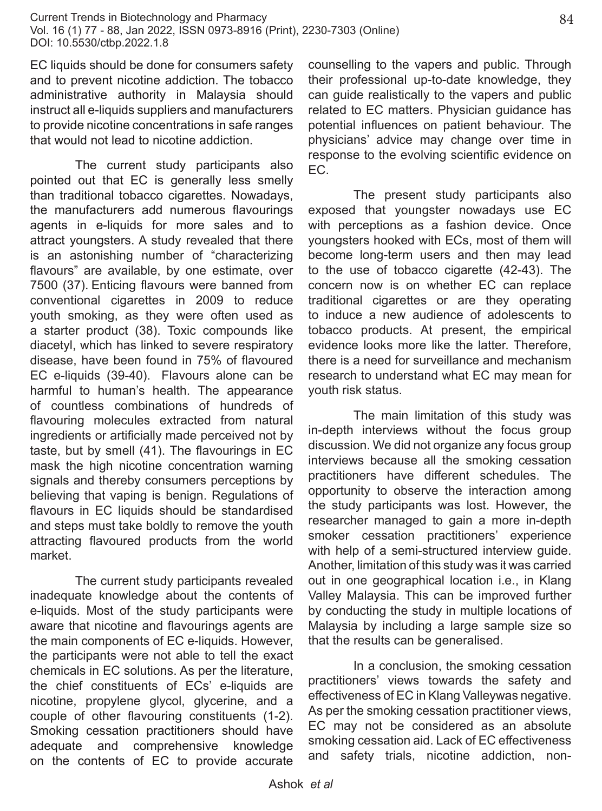EC liquids should be done for consumers safety and to prevent nicotine addiction. The tobacco administrative authority in Malaysia should instruct all e-liquids suppliers and manufacturers to provide nicotine concentrations in safe ranges that would not lead to nicotine addiction.

The current study participants also pointed out that EC is generally less smelly than traditional tobacco cigarettes. Nowadays, the manufacturers add numerous flavourings agents in e-liquids for more sales and to attract youngsters. A study revealed that there is an astonishing number of "characterizing flavours" are available, by one estimate, over 7500 (37). Enticing flavours were banned from conventional cigarettes in 2009 to reduce youth smoking, as they were often used as a starter product (38). Toxic compounds like diacetyl, which has linked to severe respiratory disease, have been found in 75% of flavoured EC e-liquids (39-40). Flavours alone can be harmful to human's health. The appearance of countless combinations of hundreds of flavouring molecules extracted from natural ingredients or artificially made perceived not by taste, but by smell (41). The flavourings in EC mask the high nicotine concentration warning signals and thereby consumers perceptions by believing that vaping is benign. Regulations of flavours in EC liquids should be standardised and steps must take boldly to remove the youth attracting flavoured products from the world market.

The current study participants revealed inadequate knowledge about the contents of e-liquids. Most of the study participants were aware that nicotine and flavourings agents are the main components of EC e-liquids. However, the participants were not able to tell the exact chemicals in EC solutions. As per the literature, the chief constituents of ECs' e-liquids are nicotine, propylene glycol, glycerine, and a couple of other flavouring constituents (1-2). Smoking cessation practitioners should have adequate and comprehensive knowledge on the contents of EC to provide accurate

counselling to the vapers and public. Through their professional up-to-date knowledge, they can guide realistically to the vapers and public related to EC matters. Physician guidance has potential influences on patient behaviour. The physicians' advice may change over time in response to the evolving scientific evidence on EC.

The present study participants also exposed that youngster nowadays use EC with perceptions as a fashion device. Once youngsters hooked with ECs, most of them will become long-term users and then may lead to the use of tobacco cigarette (42-43). The concern now is on whether EC can replace traditional cigarettes or are they operating to induce a new audience of adolescents to tobacco products. At present, the empirical evidence looks more like the latter. Therefore, there is a need for surveillance and mechanism research to understand what EC may mean for youth risk status.

The main limitation of this study was in-depth interviews without the focus group discussion. We did not organize any focus group interviews because all the smoking cessation practitioners have different schedules. The opportunity to observe the interaction among the study participants was lost. However, the researcher managed to gain a more in-depth smoker cessation practitioners' experience with help of a semi-structured interview quide. Another, limitation of this study was it was carried out in one geographical location i.e., in Klang Valley Malaysia. This can be improved further by conducting the study in multiple locations of Malaysia by including a large sample size so that the results can be generalised.

In a conclusion, the smoking cessation practitioners' views towards the safety and effectiveness of EC in Klang Valleywas negative. As per the smoking cessation practitioner views, EC may not be considered as an absolute smoking cessation aid. Lack of EC effectiveness and safety trials, nicotine addiction, non-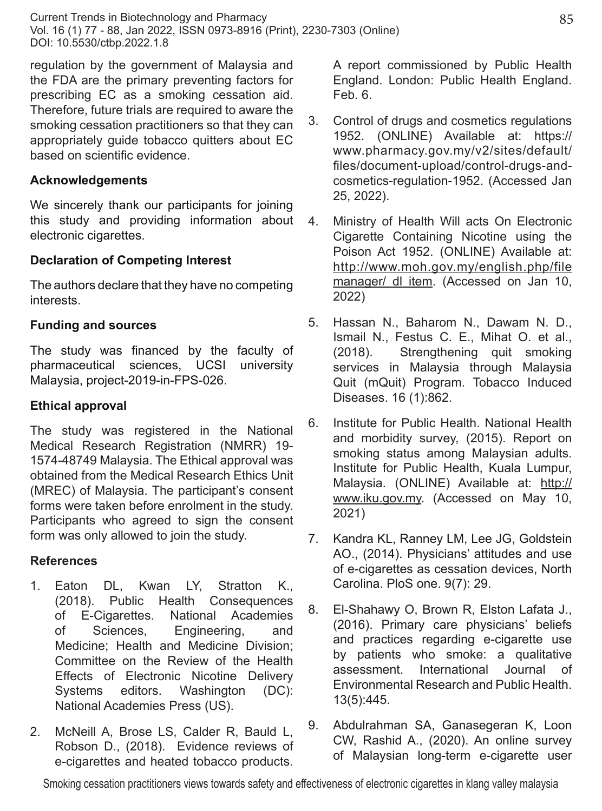regulation by the government of Malaysia and the FDA are the primary preventing factors for prescribing EC as a smoking cessation aid. Therefore, future trials are required to aware the smoking cessation practitioners so that they can appropriately guide tobacco quitters about EC based on scientific evidence.

### **Acknowledgements**

We sincerely thank our participants for joining this study and providing information about electronic cigarettes.

## **Declaration of Competing Interest**

The authors declare that they have no competing interests.

## **Funding and sources**

The study was financed by the faculty of pharmaceutical sciences, UCSI university Malaysia, project-2019-in-FPS-026.

#### **Ethical approval**

The study was registered in the National Medical Research Registration (NMRR) 19- 1574-48749 Malaysia. The Ethical approval was obtained from the Medical Research Ethics Unit (MREC) of Malaysia. The participant's consent forms were taken before enrolment in the study. Participants who agreed to sign the consent form was only allowed to join the study.

#### **References**

- 1. Eaton DL, Kwan LY, Stratton K., (2018). Public Health Consequences of E-Cigarettes. National Academies of Sciences, Engineering, and Medicine; Health and Medicine Division; Committee on the Review of the Health Effects of Electronic Nicotine Delivery Systems editors. Washington (DC): National Academies Press (US).
- 2. McNeill A, Brose LS, Calder R, Bauld L, Robson D., (2018). Evidence reviews of e-cigarettes and heated tobacco products.

A report commissioned by Public Health England. London: Public Health England. Feb. 6.

- 3. Control of drugs and cosmetics regulations 1952. (ONLINE) Available at: https:// www.pharmacy.gov.my/v2/sites/default/ files/document-upload/control-drugs-andcosmetics-regulation-1952. (Accessed Jan 25, 2022).
- 4. Ministry of Health Will acts On Electronic Cigarette Containing Nicotine using the Poison Act 1952. (ONLINE) Available at: http://www.moh.gov.my/english.php/file manager/ dl item. (Accessed on Jan 10, 2022)
- 5. Hassan N., Baharom N., Dawam N. D., Ismail N., Festus C. E., Mihat O. et al., (2018). Strengthening quit smoking services in Malaysia through Malaysia Quit (mQuit) Program. Tobacco Induced Diseases. 16 (1):862.
- 6. Institute for Public Health. National Health and morbidity survey, (2015). Report on smoking status among Malaysian adults. Institute for Public Health, Kuala Lumpur, Malaysia. (ONLINE) Available at: http:// www.iku.gov.my. (Accessed on May 10, 2021)
- 7. Kandra KL, Ranney LM, Lee JG, Goldstein AO., (2014). Physicians' attitudes and use of e-cigarettes as cessation devices, North Carolina. PloS one. 9(7): 29.
- 8. El-Shahawy O, Brown R, Elston Lafata J., (2016). Primary care physicians' beliefs and practices regarding e-cigarette use by patients who smoke: a qualitative assessment. International Journal of Environmental Research and Public Health. 13(5):445.
- 9. Abdulrahman SA, Ganasegeran K, Loon CW, Rashid A., (2020). An online survey of Malaysian long-term e-cigarette user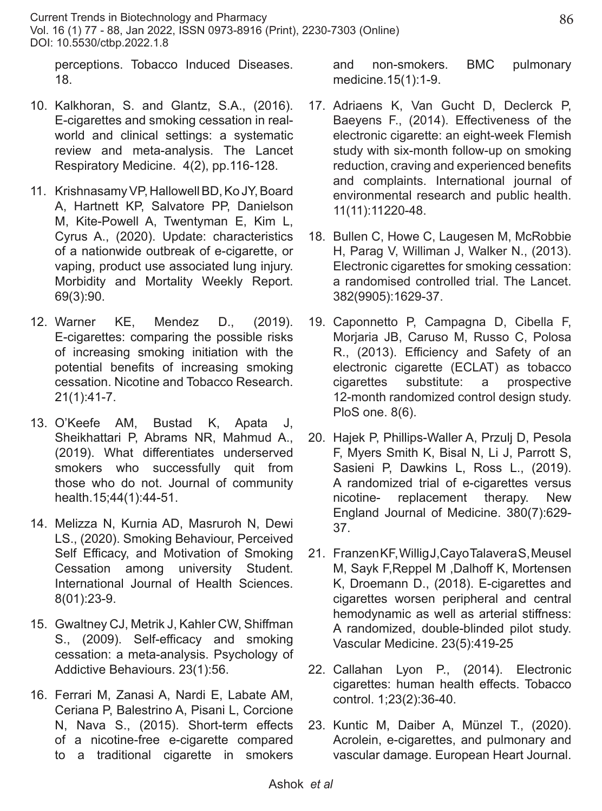perceptions. Tobacco Induced Diseases. 18.

- 10. Kalkhoran, S. and Glantz, S.A., (2016). E-cigarettes and smoking cessation in realworld and clinical settings: a systematic review and meta-analysis. The Lancet Respiratory Medicine. 4(2), pp.116-128.
- 11. Krishnasamy VP, Hallowell BD, Ko JY, Board A, Hartnett KP, Salvatore PP, Danielson M, Kite-Powell A, Twentyman E, Kim L, Cyrus A., (2020). Update: characteristics of a nationwide outbreak of e-cigarette, or vaping, product use associated lung injury. Morbidity and Mortality Weekly Report. 69(3):90.
- 12. Warner KE, Mendez D., (2019). E-cigarettes: comparing the possible risks of increasing smoking initiation with the potential benefits of increasing smoking cessation. Nicotine and Tobacco Research. 21(1):41-7.
- 13. O'Keefe AM, Bustad K, Apata J, Sheikhattari P, Abrams NR, Mahmud A., (2019). What differentiates underserved smokers who successfully quit from those who do not. Journal of community health.15;44(1):44-51.
- 14. Melizza N, Kurnia AD, Masruroh N, Dewi LS., (2020). Smoking Behaviour, Perceived Self Efficacy, and Motivation of Smoking Cessation among university Student. International Journal of Health Sciences. 8(01):23-9.
- 15. Gwaltney CJ, Metrik J, Kahler CW, Shiffman S., (2009). Self-efficacy and smoking cessation: a meta-analysis. Psychology of Addictive Behaviours. 23(1):56.
- 16. Ferrari M, Zanasi A, Nardi E, Labate AM, Ceriana P, Balestrino A, Pisani L, Corcione N, Nava S., (2015). Short-term effects of a nicotine-free e-cigarette compared to a traditional cigarette in smokers

and non-smokers. BMC pulmonary medicine.15(1):1-9.

- 17. Adriaens K, Van Gucht D, Declerck P, Baeyens F., (2014). Effectiveness of the electronic cigarette: an eight-week Flemish study with six-month follow-up on smoking reduction, craving and experienced benefits and complaints. International journal of environmental research and public health. 11(11):11220-48.
- 18. Bullen C, Howe C, Laugesen M, McRobbie H, Parag V, Williman J, Walker N., (2013). Electronic cigarettes for smoking cessation: a randomised controlled trial. The Lancet. 382(9905):1629-37.
- 19. Caponnetto P, Campagna D, Cibella F, Morjaria JB, Caruso M, Russo C, Polosa R., (2013). Efficiency and Safety of an electronic cigarette (ECLAT) as tobacco cigarettes substitute: a prospective 12-month randomized control design study. PloS one. 8(6).
- 20. Hajek P, Phillips-Waller A, Przulj D, Pesola F, Myers Smith K, Bisal N, Li J, Parrott S, Sasieni P, Dawkins L, Ross L., (2019). A randomized trial of e-cigarettes versus nicotine- replacement therapy. New England Journal of Medicine. 380(7):629- 37.
- 21. Franzen KF, Willig J,Cayo Talavera S, Meusel M, Sayk F, Reppel M, Dalhoff K, Mortensen K, Droemann D., (2018). E-cigarettes and cigarettes worsen peripheral and central hemodynamic as well as arterial stiffness: A randomized, double-blinded pilot study. Vascular Medicine. 23(5):419-25
- 22. Callahan Lyon P., (2014). Electronic cigarettes: human health effects. Tobacco control. 1;23(2):36-40.
- 23. Kuntic M, Daiber A, Münzel T., (2020). Acrolein, e-cigarettes, and pulmonary and vascular damage. European Heart Journal.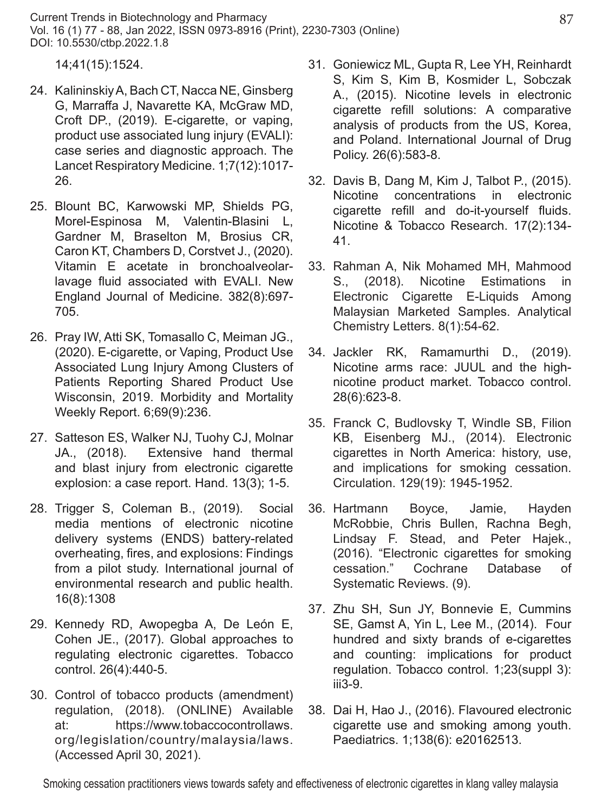14;41(15):1524.

- 24. Kalininskiy A, Bach CT, Nacca NE, Ginsberg G, Marraffa J, Navarette KA, McGraw MD, Croft DP., (2019). E-cigarette, or vaping, product use associated lung injury (EVALI): case series and diagnostic approach. The Lancet Respiratory Medicine. 1;7(12):1017- 26.
- 25. Blount BC, Karwowski MP, Shields PG, Morel-Espinosa M, Valentin-Blasini L, Gardner M, Braselton M, Brosius CR, Caron KT, Chambers D, Corstvet J., (2020). Vitamin E acetate in bronchoalveolarlavage fluid associated with EVALI. New England Journal of Medicine. 382(8):697- 705.
- 26. Pray IW, Atti SK, Tomasallo C, Meiman JG., (2020). E-cigarette, or Vaping, Product Use Associated Lung Injury Among Clusters of Patients Reporting Shared Product Use Wisconsin, 2019. Morbidity and Mortality Weekly Report. 6;69(9):236.
- 27. Satteson ES, Walker NJ, Tuohy CJ, Molnar JA., (2018). Extensive hand thermal and blast injury from electronic cigarette explosion: a case report. Hand. 13(3); 1-5.
- 28. Trigger S, Coleman B., (2019). Social media mentions of electronic nicotine delivery systems (ENDS) battery-related overheating, fires, and explosions: Findings from a pilot study. International journal of environmental research and public health. 16(8):1308
- 29. Kennedy RD, Awopegba A, De León E, Cohen JE., (2017). Global approaches to regulating electronic cigarettes. Tobacco control. 26(4):440-5.
- 30. Control of tobacco products (amendment) regulation, (2018). (ONLINE) Available at: https://www.tobaccocontrollaws. org/legislation/country/malaysia/laws. (Accessed April 30, 2021).
- 31. Goniewicz ML, Gupta R, Lee YH, Reinhardt S, Kim S, Kim B, Kosmider L, Sobczak A., (2015). Nicotine levels in electronic cigarette refill solutions: A comparative analysis of products from the US, Korea, and Poland. International Journal of Drug Policy. 26(6):583-8.
- 32. Davis B, Dang M, Kim J, Talbot P., (2015). Nicotine concentrations in electronic cigarette refill and do-it-yourself fluids. Nicotine & Tobacco Research. 17(2):134- 41.
- 33. Rahman A, Nik Mohamed MH, Mahmood S., (2018). Nicotine Estimations in Electronic Cigarette E-Liquids Among Malaysian Marketed Samples. Analytical Chemistry Letters. 8(1):54-62.
- 34. Jackler RK, Ramamurthi D., (2019). Nicotine arms race: JUUL and the highnicotine product market. Tobacco control. 28(6):623-8.
- 35. Franck C, Budlovsky T, Windle SB, Filion KB, Eisenberg MJ., (2014). Electronic cigarettes in North America: history, use, and implications for smoking cessation. Circulation. 129(19): 1945-1952.
- 36. Hartmann Boyce, Jamie, Hayden McRobbie, Chris Bullen, Rachna Begh, Lindsay F. Stead, and Peter Hajek., (2016). "Electronic cigarettes for smoking cessation." Cochrane Database of Systematic Reviews. (9).
- 37. Zhu SH, Sun JY, Bonnevie E, Cummins SE, Gamst A, Yin L, Lee M., (2014). Four hundred and sixty brands of e-cigarettes and counting: implications for product regulation. Tobacco control. 1;23(suppl 3): iii3-9.
- 38. Dai H, Hao J., (2016). Flavoured electronic cigarette use and smoking among youth. Paediatrics. 1;138(6): e20162513.